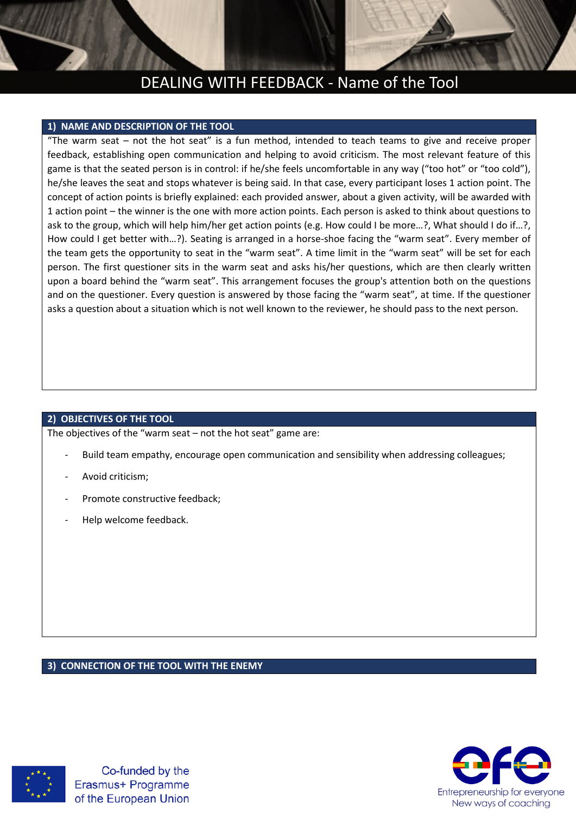### DEALING WITH FEEDBACK - Name of the Tool

### **1) NAME AND DESCRIPTION OF THE TOOL**

"The warm seat – not the hot seat" is a fun method, intended to teach teams to give and receive proper feedback, establishing open communication and helping to avoid criticism. The most relevant feature of this game is that the seated person is in control: if he/she feels uncomfortable in any way ("too hot" or "too cold"), he/she leaves the seat and stops whatever is being said. In that case, every participant loses 1 action point. The concept of action points is briefly explained: each provided answer, about a given activity, will be awarded with 1 action point – the winner is the one with more action points. Each person is asked to think about questions to ask to the group, which will help him/her get action points (e.g. How could I be more…?, What should I do if…?, How could I get better with…?). Seating is arranged in a horse-shoe facing the "warm seat". Every member of the team gets the opportunity to seat in the "warm seat". A time limit in the "warm seat" will be set for each person. The first questioner sits in the warm seat and asks his/her questions, which are then clearly written upon a board behind the "warm seat". This arrangement focuses the group's attention both on the questions and on the questioner. Every question is answered by those facing the "warm seat", at time. If the questioner asks a question about a situation which is not well known to the reviewer, he should pass to the next person.

#### **2) OBJECTIVES OF THE TOOL**

The objectives of the "warm seat – not the hot seat" game are:

- Build team empathy, encourage open communication and sensibility when addressing colleagues;
- Avoid criticism:
- Promote constructive feedback;
- Help welcome feedback.

#### **3) CONNECTION OF THE TOOL WITH THE ENEMY**



Co-funded by the Erasmus+ Programme of the European Union

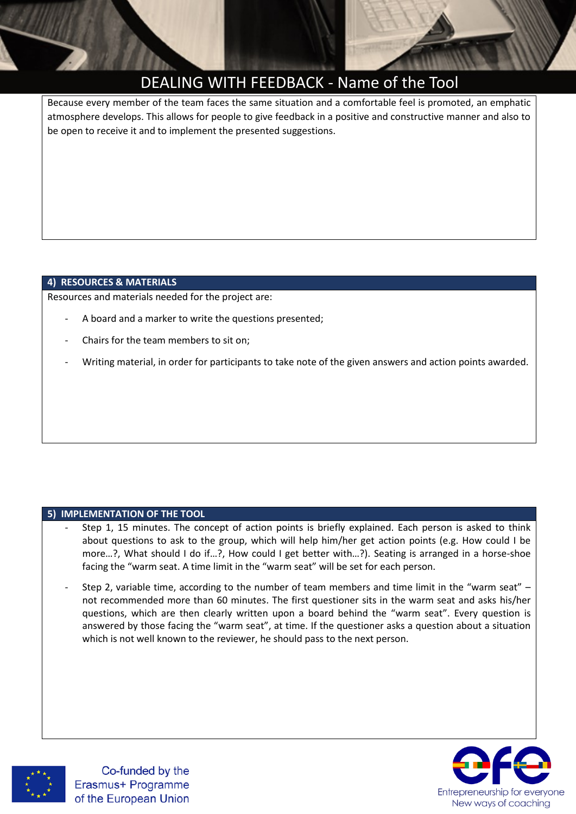

# DEALING WITH FEEDBACK - Name of the Tool

Because every member of the team faces the same situation and a comfortable feel is promoted, an emphatic atmosphere develops. This allows for people to give feedback in a positive and constructive manner and also to be open to receive it and to implement the presented suggestions.

### **4) RESOURCES & MATERIALS**

Resources and materials needed for the project are:

- A board and a marker to write the questions presented;
- Chairs for the team members to sit on;
- Writing material, in order for participants to take note of the given answers and action points awarded.

### **5) IMPLEMENTATION OF THE TOOL**

- Step 1, 15 minutes. The concept of action points is briefly explained. Each person is asked to think about questions to ask to the group, which will help him/her get action points (e.g. How could I be more…?, What should I do if…?, How could I get better with…?). Seating is arranged in a horse-shoe facing the "warm seat. A time limit in the "warm seat" will be set for each person.
- Step 2, variable time, according to the number of team members and time limit in the "warm seat" not recommended more than 60 minutes. The first questioner sits in the warm seat and asks his/her questions, which are then clearly written upon a board behind the "warm seat". Every question is answered by those facing the "warm seat", at time. If the questioner asks a question about a situation which is not well known to the reviewer, he should pass to the next person.





Co-funded by the Erasmus+ Programme of the European Union